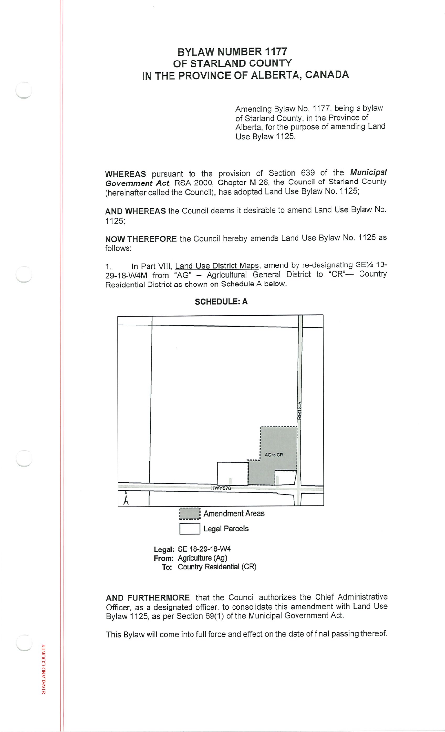## **BYLAW NUMBER 1177 OF STARLAND COUNTY IN THE PROVINCE OF ALBERTA, CANADA**

Amending Bylaw No. <sup>1177</sup>, being <sup>a</sup> bylaw of Starland County, in the Province of Alberta, for the purpose of amending Land Use Bylaw 1125.

WHEREAS pursuant to the provision of Section <sup>639</sup> of the *Municipal Government Act*, RSA 2000, Chapter M-26, the Council of Starland County (hereinafter called the Council), has adopted Land Use Bylaw No. <sup>1125</sup>;

AND WHEREAS the Council deems it desirable to amend Land Use Bylaw No. 1125;

NOW THEREFORE the Council hereby amends Land Use Bylaw No. 1125 as follows:

In Part VIII, Land Use District Maps, amend by re-designating SE% <sup>18</sup>- 29-18-W4M from "AG" - Agricultural General District to "CR"- Country Residential District as shown on Schedule A below. 1**.**



## SCHEDULE:A

AND FURTHERMORE, that the Council authorizes the Chief Administrative Officer, as <sup>a</sup> designated officer, to consolidate this amendment with Land Use Bylaw 1125, as per Section 69(1) of the Municipal Government Act.

This Bylaw will come into full force and effect on the date of final passing thereof.

⊵ Q

STAR